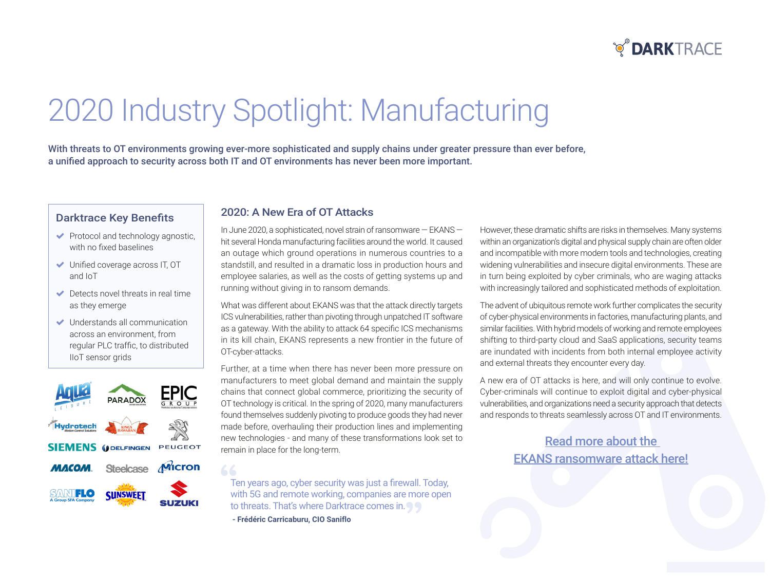## **O DARKTRACE**

# 2020 Industry Spotlight: Manufacturing

With threats to OT environments growing ever-more sophisticated and supply chains under greater pressure than ever before, a unified approach to security across both IT and OT environments has never been more important.

#### **Darktrace Key Benefits**

- $\blacktriangleright$  Protocol and technology agnostic, with no fixed baselines
- $\blacktriangleright$  Unified coverage across IT, OT and IoT
- $\blacktriangleright$  Detects novel threats in real time as they emerge
- $\blacktriangleright$  Understands all communication across an environment, from regular PLC traffic, to distributed lloT sensor grids



#### 2020: A New Era of OT Attacks

In June 2020, a sophisticated, novel strain of ransomware  $-$  EKANS  $$ hit several Honda manufacturing facilities around the world. It caused an outage which ground operations in numerous countries to a stand still, and resulted in a dramatic loss in production hours and employee salaries, as well as the costs of getting systems up and running without giving in to ransom demands.

What was different about EKANS was that the attack directly targets ICS vulnerabilities, rather than pivoting through unpatched IT software as a gateway. With the ability to attack 64 specific ICS mechanisms in its kill chain, EKANS represents a new frontier in the future of OT-cyber-attacks.

Further, at a time when there has never been more pressure on manufacturers to meet global demand and maintain the supply chains that connect global commerce, prioritizing the security of OT technology is critical. In the spring of 2020, many manufacturers found themselves suddenly pivoting to produce goods they had never made before, overhauling their production lines and implementing new technologies - and many of these transformations look set to remain in place for the long-term.

Ten years ago, cyber security was just a firewall. Today, with 5G and remote working, companies are more open to threats. That's where Darktrace comes in.

- Frédéric Carricaburu, CIO Saniflo

66

However, these dramatic shifts are risks in themselves. Many systems within an organization's digital and physical supply chain are often older and incompatible with more modern tools and technologies, creating widening vulnerabilities and insecure digital environments. These are in turn being exploited by cyber criminals, who are waging attacks with increasingly tailored and sophisticated methods of exploitation.

The advent of ubiquitous remote work further complicates the security of cyber-physical environments in factories, manufacturing plants, and similar facilities. With hybrid models of working and remote employees shifting to third-party cloud and SaaS applications, security teams are inundated with incidents from both internal employee activity and external threats they encounter every day.

A new era of OT attacks is here, and will only continue to evolve. Cyber-criminals will continue to exploit digital and cyber-physical vulnerabilities, and organizations need a security approach that detects and responds to threats seamlessly across OT and IT environments.

> Read more about the **EKANS ransomware attack here!**